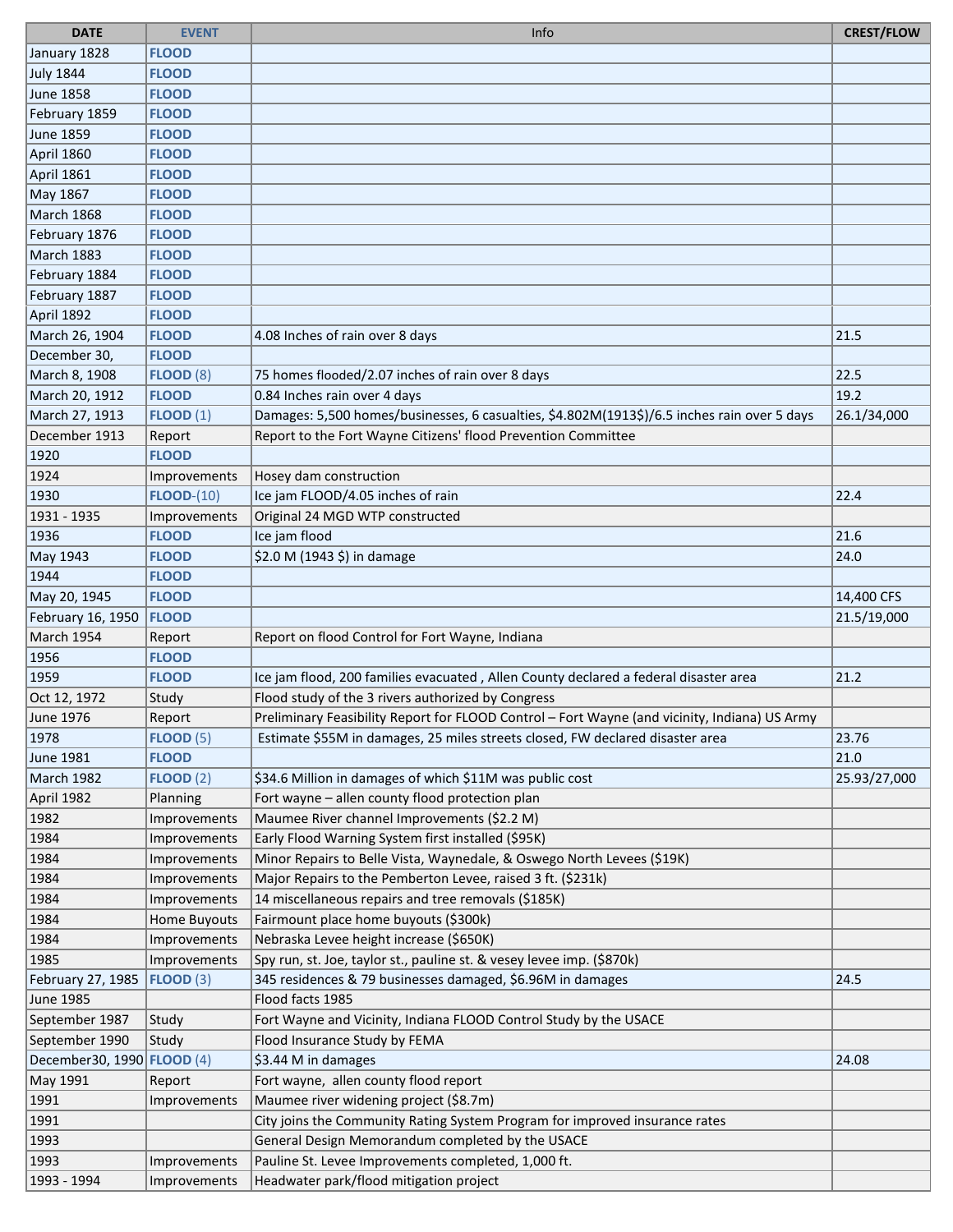| <b>DATE</b>                       | <b>EVENT</b>     | Info                                                                                          | <b>CREST/FLOW</b> |
|-----------------------------------|------------------|-----------------------------------------------------------------------------------------------|-------------------|
| January 1828                      | <b>FLOOD</b>     |                                                                                               |                   |
| July 1844                         | <b>FLOOD</b>     |                                                                                               |                   |
| June 1858                         | <b>FLOOD</b>     |                                                                                               |                   |
| February 1859                     | <b>FLOOD</b>     |                                                                                               |                   |
| June 1859                         | <b>FLOOD</b>     |                                                                                               |                   |
| April 1860                        | <b>FLOOD</b>     |                                                                                               |                   |
| April 1861                        | <b>FLOOD</b>     |                                                                                               |                   |
| May 1867                          | <b>FLOOD</b>     |                                                                                               |                   |
| March 1868                        | <b>FLOOD</b>     |                                                                                               |                   |
| February 1876                     | <b>FLOOD</b>     |                                                                                               |                   |
| March 1883                        | <b>FLOOD</b>     |                                                                                               |                   |
| February 1884                     | <b>FLOOD</b>     |                                                                                               |                   |
| February 1887                     | <b>FLOOD</b>     |                                                                                               |                   |
| April 1892                        | <b>FLOOD</b>     |                                                                                               |                   |
| March 26, 1904                    | <b>FLOOD</b>     | 4.08 Inches of rain over 8 days                                                               | 21.5              |
| December 30,                      | <b>FLOOD</b>     |                                                                                               |                   |
| March 8, 1908                     | <b>FLOOD (8)</b> | 75 homes flooded/2.07 inches of rain over 8 days                                              | 22.5              |
| March 20, 1912                    | <b>FLOOD</b>     | 0.84 Inches rain over 4 days                                                                  | 19.2              |
| March 27, 1913                    | FLOOD(1)         | Damages: 5,500 homes/businesses, 6 casualties, \$4.802M(1913\$)/6.5 inches rain over 5 days   | 26.1/34,000       |
| December 1913                     | Report           | Report to the Fort Wayne Citizens' flood Prevention Committee                                 |                   |
| 1920                              | <b>FLOOD</b>     |                                                                                               |                   |
| 1924                              | Improvements     | Hosey dam construction                                                                        |                   |
| 1930                              | $FLOOD-(10)$     | Ice jam FLOOD/4.05 inches of rain                                                             | 22.4              |
| 1931 - 1935                       | Improvements     | Original 24 MGD WTP constructed                                                               |                   |
| 1936                              | <b>FLOOD</b>     | Ice jam flood                                                                                 | 21.6              |
| May 1943                          | <b>FLOOD</b>     | \$2.0 M (1943 \$) in damage                                                                   | 24.0              |
| 1944                              | <b>FLOOD</b>     |                                                                                               |                   |
| May 20, 1945                      | <b>FLOOD</b>     |                                                                                               | 14,400 CFS        |
| February 16, 1950                 | <b>FLOOD</b>     |                                                                                               | 21.5/19,000       |
| March 1954                        | Report           | Report on flood Control for Fort Wayne, Indiana                                               |                   |
| 1956                              | <b>FLOOD</b>     |                                                                                               |                   |
| 1959                              | <b>FLOOD</b>     | Ice jam flood, 200 families evacuated, Allen County declared a federal disaster area          | 21.2              |
| Oct 12, 1972                      | Study            | Flood study of the 3 rivers authorized by Congress                                            |                   |
| June 1976                         | Report           | Preliminary Feasibility Report for FLOOD Control - Fort Wayne (and vicinity, Indiana) US Army |                   |
| 1978                              | <b>FLOOD (5)</b> | Estimate \$55M in damages, 25 miles streets closed, FW declared disaster area                 | 23.76             |
| June 1981                         | <b>FLOOD</b>     |                                                                                               | 21.0              |
| March 1982                        | <b>FLOOD (2)</b> | \$34.6 Million in damages of which \$11M was public cost                                      | 25.93/27,000      |
| April 1982                        | Planning         | Fort wayne - allen county flood protection plan                                               |                   |
| 1982                              | Improvements     | Maumee River channel Improvements (\$2.2 M)                                                   |                   |
| 1984                              | Improvements     | Early Flood Warning System first installed (\$95K)                                            |                   |
| 1984                              | Improvements     | Minor Repairs to Belle Vista, Waynedale, & Oswego North Levees (\$19K)                        |                   |
| 1984                              | Improvements     | Major Repairs to the Pemberton Levee, raised 3 ft. (\$231k)                                   |                   |
| 1984                              | Improvements     | 14 miscellaneous repairs and tree removals (\$185K)                                           |                   |
| 1984                              | Home Buyouts     | Fairmount place home buyouts (\$300k)                                                         |                   |
| 1984                              | Improvements     | Nebraska Levee height increase (\$650K)                                                       |                   |
| 1985                              | Improvements     | Spy run, st. Joe, taylor st., pauline st. & vesey levee imp. (\$870k)                         |                   |
| February 27, 1985                 | FLOOD(3)         | 345 residences & 79 businesses damaged, \$6.96M in damages                                    | 24.5              |
| <b>June 1985</b>                  |                  | Flood facts 1985                                                                              |                   |
| September 1987                    | Study            | Fort Wayne and Vicinity, Indiana FLOOD Control Study by the USACE                             |                   |
| September 1990                    | Study            | Flood Insurance Study by FEMA                                                                 |                   |
| December30, 1990 <b>FLOOD</b> (4) |                  | \$3.44 M in damages                                                                           | 24.08             |
| May 1991                          | Report           | Fort wayne, allen county flood report                                                         |                   |
| 1991                              | Improvements     | Maumee river widening project (\$8.7m)                                                        |                   |
| 1991                              |                  | City joins the Community Rating System Program for improved insurance rates                   |                   |
| 1993                              |                  | General Design Memorandum completed by the USACE                                              |                   |
| 1993                              | Improvements     | Pauline St. Levee Improvements completed, 1,000 ft.                                           |                   |
| 1993 - 1994                       | Improvements     | Headwater park/flood mitigation project                                                       |                   |